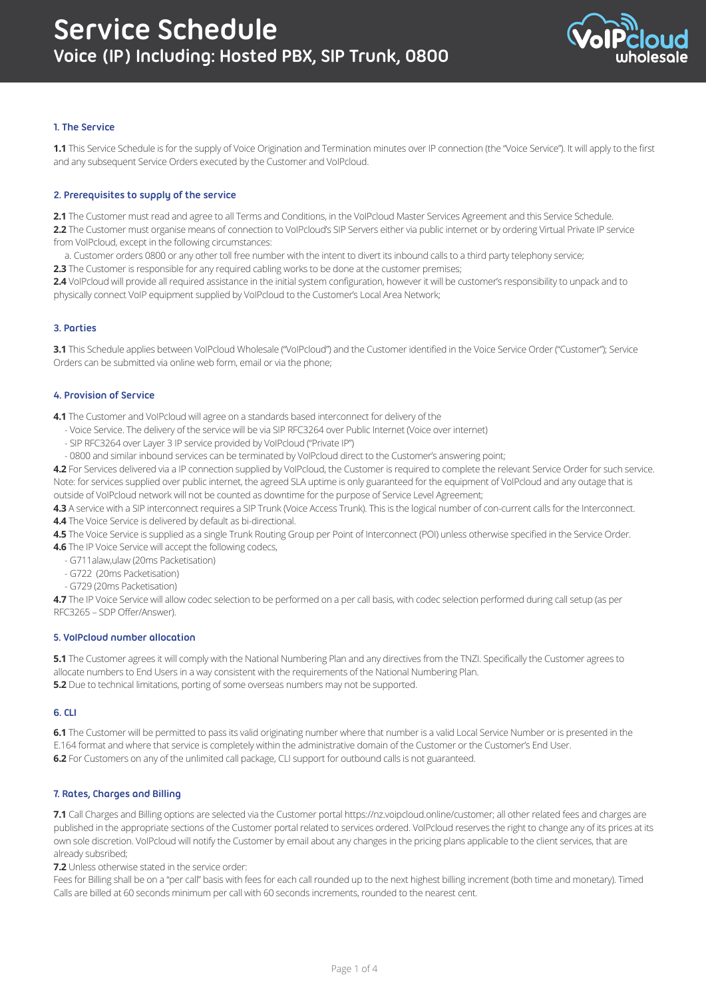

# **1. The Service**

**1.1** This Service Schedule is for the supply of Voice Origination and Termination minutes over IP connection (the "Voice Service"). It will apply to the first and any subsequent Service Orders executed by the Customer and VoIPcloud.

## **2. Prerequisites to supply of the service**

**2.1** The Customer must read and agree to all Terms and Conditions, in the VoIPcloud Master Services Agreement and this Service Schedule. **2.2** The Customer must organise means of connection to VoIPcloud's SIP Servers either via public internet or by ordering Virtual Private IP service from VoIPcloud, except in the following circumstances:

 a. Customer orders 0800 or any other toll free number with the intent to divert its inbound calls to a third party telephony service; **2.3** The Customer is responsible for any required cabling works to be done at the customer premises;

**2.4** VoIPcloud will provide all required assistance in the initial system configuration, however it will be customer's responsibility to unpack and to physically connect VoIP equipment supplied by VoIPcloud to the Customer's Local Area Network;

#### **3. Parties**

**3.1** This Schedule applies between VoIPcloud Wholesale ("VoIPcloud") and the Customer identified in the Voice Service Order ("Customer"); Service Orders can be submitted via online web form, email or via the phone;

#### **4. Provision of Service**

**4.1** The Customer and VoIPcloud will agree on a standards based interconnect for delivery of the

- Voice Service. The delivery of the service will be via SIP RFC3264 over Public Internet (Voice over internet)
- SIP RFC3264 over Layer 3 IP service provided by VoIPcloud ("Private IP")
- 0800 and similar inbound services can be terminated by VoIPcloud direct to the Customer's answering point;

**4.2** For Services delivered via a IP connection supplied by VoIPcloud, the Customer is required to complete the relevant Service Order for such service. Note: for services supplied over public internet, the agreed SLA uptime is only guaranteed for the equipment of VoIPcloud and any outage that is outside of VoIPcloud network will not be counted as downtime for the purpose of Service Level Agreement;

**4.3** A service with a SIP interconnect requires a SIP Trunk (Voice Access Trunk). This is the logical number of con-current calls for the Interconnect. **4.4** The Voice Service is delivered by default as bi-directional.

4.5 The Voice Service is supplied as a single Trunk Routing Group per Point of Interconnect (POI) unless otherwise specified in the Service Order.

**4.6** The IP Voice Service will accept the following codecs,

- G711alaw,ulaw (20ms Packetisation)
- G722 (20ms Packetisation)
- G729 (20ms Packetisation)

**4.7** The IP Voice Service will allow codec selection to be performed on a per call basis, with codec selection performed during call setup (as per RFC3265 – SDP Offer/Answer).

#### **5. VoIPcloud number allocation**

**5.1** The Customer agrees it will comply with the National Numbering Plan and any directives from the TNZI. Specifically the Customer agrees to allocate numbers to End Users in a way consistent with the requirements of the National Numbering Plan. **5.2** Due to technical limitations, porting of some overseas numbers may not be supported.

#### **6. CLI**

**6.1** The Customer will be permitted to pass its valid originating number where that number is a valid Local Service Number or is presented in the E.164 format and where that service is completely within the administrative domain of the Customer or the Customer's End User. **6.2** For Customers on any of the unlimited call package, CLI support for outbound calls is not guaranteed.

#### **7. Rates, Charges and Billing**

**7.1** Call Charges and Billing options are selected via the Customer portal https://nz.voipcloud.online/customer; all other related fees and charges are published in the appropriate sections of the Customer portal related to services ordered. VoIPcloud reserves the right to change any of its prices at its own sole discretion. VoIPcloud will notify the Customer by email about any changes in the pricing plans applicable to the client services, that are already subsribed;

**7.2** Unless otherwise stated in the service order:

Fees for Billing shall be on a "per call" basis with fees for each call rounded up to the next highest billing increment (both time and monetary). Timed Calls are billed at 60 seconds minimum per call with 60 seconds increments, rounded to the nearest cent.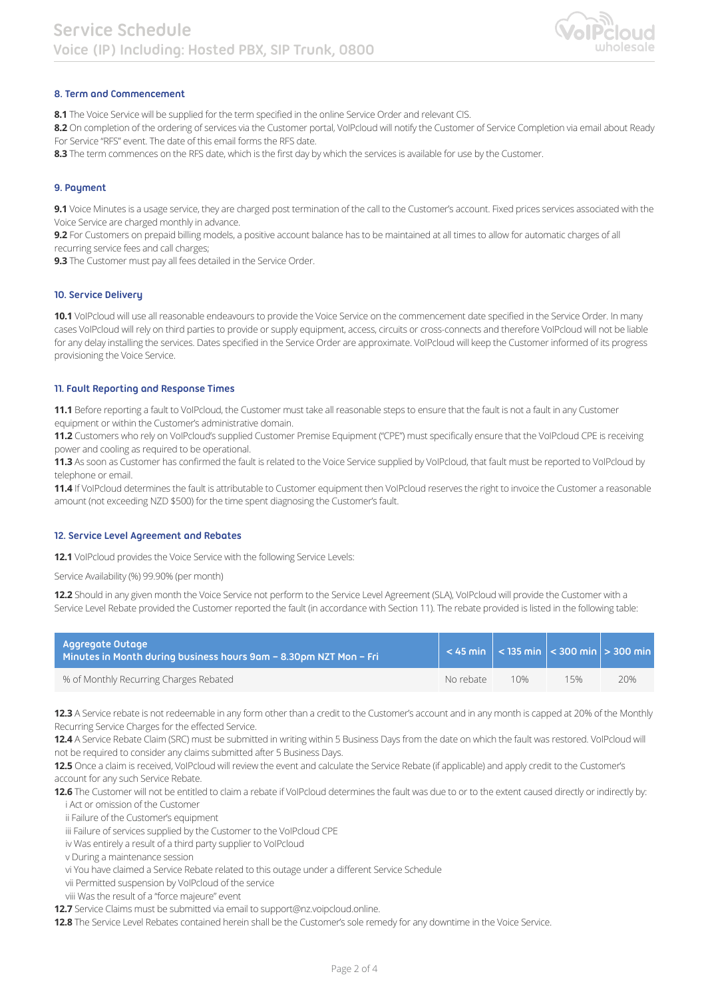

# **8. Term and Commencement**

**8.1** The Voice Service will be supplied for the term specified in the online Service Order and relevant CIS.

8.2 On completion of the ordering of services via the Customer portal, VoIPcloud will notify the Customer of Service Completion via email about Ready For Service "RFS" event. The date of this email forms the RFS date.

**8.3** The term commences on the RFS date, which is the first day by which the services is available for use by the Customer.

#### **9. Payment**

**9.1** Voice Minutes is a usage service, they are charged post termination of the call to the Customer's account. Fixed prices services associated with the Voice Service are charged monthly in advance.

**9.2** For Customers on prepaid billing models, a positive account balance has to be maintained at all times to allow for automatic charges of all recurring service fees and call charges;

**9.3** The Customer must pay all fees detailed in the Service Order.

#### **10. Service Delivery**

**10.1** VoIPcloud will use all reasonable endeavours to provide the Voice Service on the commencement date specified in the Service Order. In many cases VoIPcloud will rely on third parties to provide or supply equipment, access, circuits or cross-connects and therefore VoIPcloud will not be liable for any delay installing the services. Dates specified in the Service Order are approximate. VoIPcloud will keep the Customer informed of its progress provisioning the Voice Service.

#### **11. Fault Reporting and Response Times**

**11.1** Before reporting a fault to VoIPcloud, the Customer must take all reasonable steps to ensure that the fault is not a fault in any Customer equipment or within the Customer's administrative domain.

**11.2** Customers who rely on VoIPcloud's supplied Customer Premise Equipment ("CPE") must specifically ensure that the VoIPcloud CPE is receiving power and cooling as required to be operational.

**11.3** As soon as Customer has confirmed the fault is related to the Voice Service supplied by VoIPcloud, that fault must be reported to VoIPcloud by telephone or email.

**11.4** If VoIPcloud determines the fault is attributable to Customer equipment then VoIPcloud reserves the right to invoice the Customer a reasonable amount (not exceeding NZD \$500) for the time spent diagnosing the Customer's fault.

#### **12. Service Level Agreement and Rebates**

12.1 VoIPcloud provides the Voice Service with the following Service Levels:

Service Availability (%) 99.90% (per month)

**12.2** Should in any given month the Voice Service not perform to the Service Level Agreement (SLA), VoIPcloud will provide the Customer with a Service Level Rebate provided the Customer reported the fault (in accordance with Section 11). The rebate provided is listed in the following table:

| Aggregate Outage<br>Minutes in Month during business hours 9am - 8.30pm NZT Mon - Fri |           |     | $<$ 45 min $ $ < 135 min $ $ < 300 min $ $ > 300 min |     |
|---------------------------------------------------------------------------------------|-----------|-----|------------------------------------------------------|-----|
| % of Monthly Recurring Charges Rebated                                                | No rebate | 10% | 15%                                                  | 20% |

**12.3** A Service rebate is not redeemable in any form other than a credit to the Customer's account and in any month is capped at 20% of the Monthly Recurring Service Charges for the effected Service.

**12.4** A Service Rebate Claim (SRC) must be submitted in writing within 5 Business Days from the date on which the fault was restored. VoIPcloud will not be required to consider any claims submitted after 5 Business Days.

**12.5** Once a claim is received, VoIPcloud will review the event and calculate the Service Rebate (if applicable) and apply credit to the Customer's account for any such Service Rebate.

12.6 The Customer will not be entitled to claim a rebate if VoIPcloud determines the fault was due to or to the extent caused directly or indirectly by: i Act or omission of the Customer

ii Failure of the Customer's equipment

iii Failure of services supplied by the Customer to the VoIPcloud CPE

iv Was entirely a result of a third party supplier to VoIPcloud

v During a maintenance session

vi You have claimed a Service Rebate related to this outage under a different Service Schedule

vii Permitted suspension by VoIPcloud of the service

viii Was the result of a "force majeure" event

**12.7** Service Claims must be submitted via email to support@nz.voipcloud.online.

**12.8** The Service Level Rebates contained herein shall be the Customer's sole remedy for any downtime in the Voice Service.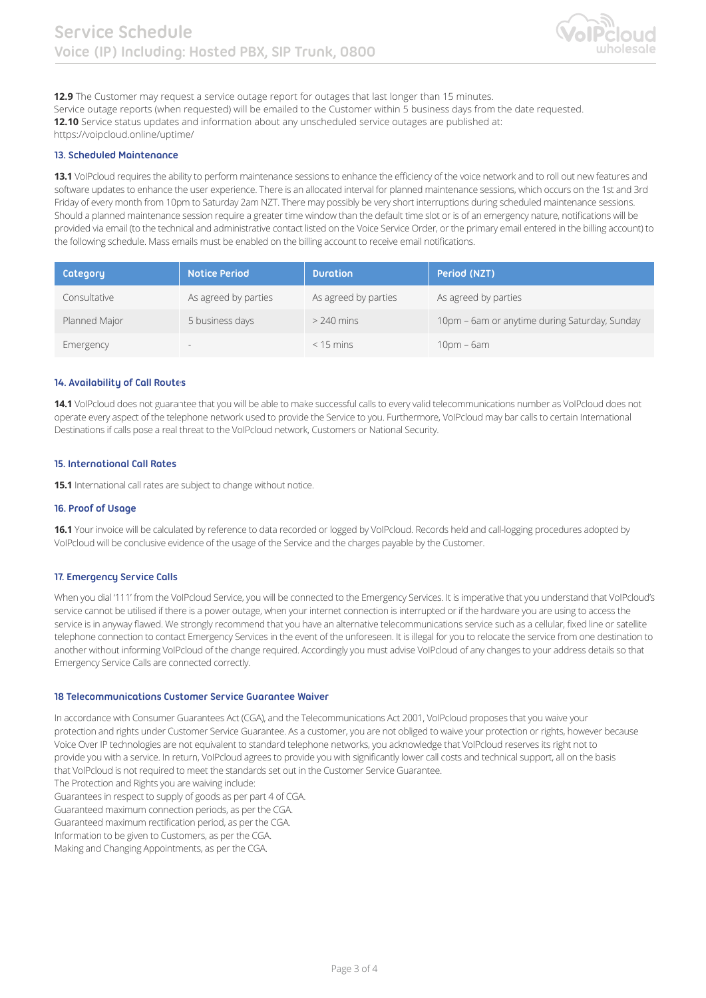

**12.9** The Customer may request a service outage report for outages that last longer than 15 minutes. Service outage reports (when requested) will be emailed to the Customer within 5 business days from the date requested. **12.10** Service status updates and information about any unscheduled service outages are published at: https://voipcloud.online/uptime/

## **13. Scheduled Maintenance**

**13.1** VoIPcloud requires the ability to perform maintenance sessions to enhance the efficiency of the voice network and to roll out new features and software updates to enhance the user experience. There is an allocated interval for planned maintenance sessions, which occurs on the 1st and 3rd Friday of every month from 10pm to Saturday 2am NZT. There may possibly be very short interruptions during scheduled maintenance sessions. Should a planned maintenance session require a greater time window than the default time slot or is of an emergency nature, notifications will be provided via email (to the technical and administrative contact listed on the Voice Service Order, or the primary email entered in the billing account) to the following schedule. Mass emails must be enabled on the billing account to receive email notifications.

| Category      | <b>Notice Period</b> | <b>Duration</b>      | Period (NZT)                                  |
|---------------|----------------------|----------------------|-----------------------------------------------|
| Consultative  | As agreed by parties | As agreed by parties | As agreed by parties                          |
| Planned Major | 5 business days      | $> 240$ mins         | 10pm - 6am or anytime during Saturday, Sunday |
| Emergency     | $\sim$               | $< 15$ mins          | $10pm - 6am$                                  |

## **14. Availability of Call Routes**

**14.1** VoIPcloud does not guarantee that you will be able to make successful calls to every valid telecommunications number as VoIPcloud does not operate every aspect of the telephone network used to provide the Service to you. Furthermore, VoIPcloud may bar calls to certain International Destinations if calls pose a real threat to the VoIPcloud network, Customers or National Security.

# **15. International Call Rates**

**15.1** International call rates are subject to change without notice.

#### **16. Proof of Usage**

**16.1** Your invoice will be calculated by reference to data recorded or logged by VoIPcloud. Records held and call-logging procedures adopted by VoIPcloud will be conclusive evidence of the usage of the Service and the charges payable by the Customer.

### **17. Emergency Service Calls**

When you dial '111' from the VoIPcloud Service, you will be connected to the Emergency Services. It is imperative that you understand that VoIPcloud's service cannot be utilised if there is a power outage, when your internet connection is interrupted or if the hardware you are using to access the service is in anyway flawed. We strongly recommend that you have an alternative telecommunications service such as a cellular, fixed line or satellite telephone connection to contact Emergency Services in the event of the unforeseen. It is illegal for you to relocate the service from one destination to another without informing VoIPcloud of the change required. Accordingly you must advise VoIPcloud of any changes to your address details so that Emergency Service Calls are connected correctly.

## **18 Telecommunications Customer Service Guarantee Waiver**

In accordance with Consumer Guarantees Act (CGA), and the Telecommunications Act 2001, VoIPcloud proposes that you waive your protection and rights under Customer Service Guarantee. As a customer, you are not obliged to waive your protection or rights, however because Voice Over IP technologies are not equivalent to standard telephone networks, you acknowledge that VoIPcloud reserves its right not to provide you with a service. In return, VoIPcloud agrees to provide you with significantly lower call costs and technical support, all on the basis that VoIPcloud is not required to meet the standards set out in the Customer Service Guarantee.

The Protection and Rights you are waiving include:

Guarantees in respect to supply of goods as per part 4 of CGA.

Guaranteed maximum connection periods, as per the CGA.

Guaranteed maximum rectification period, as per the CGA.

Information to be given to Customers, as per the CGA.

Making and Changing Appointments, as per the CGA.